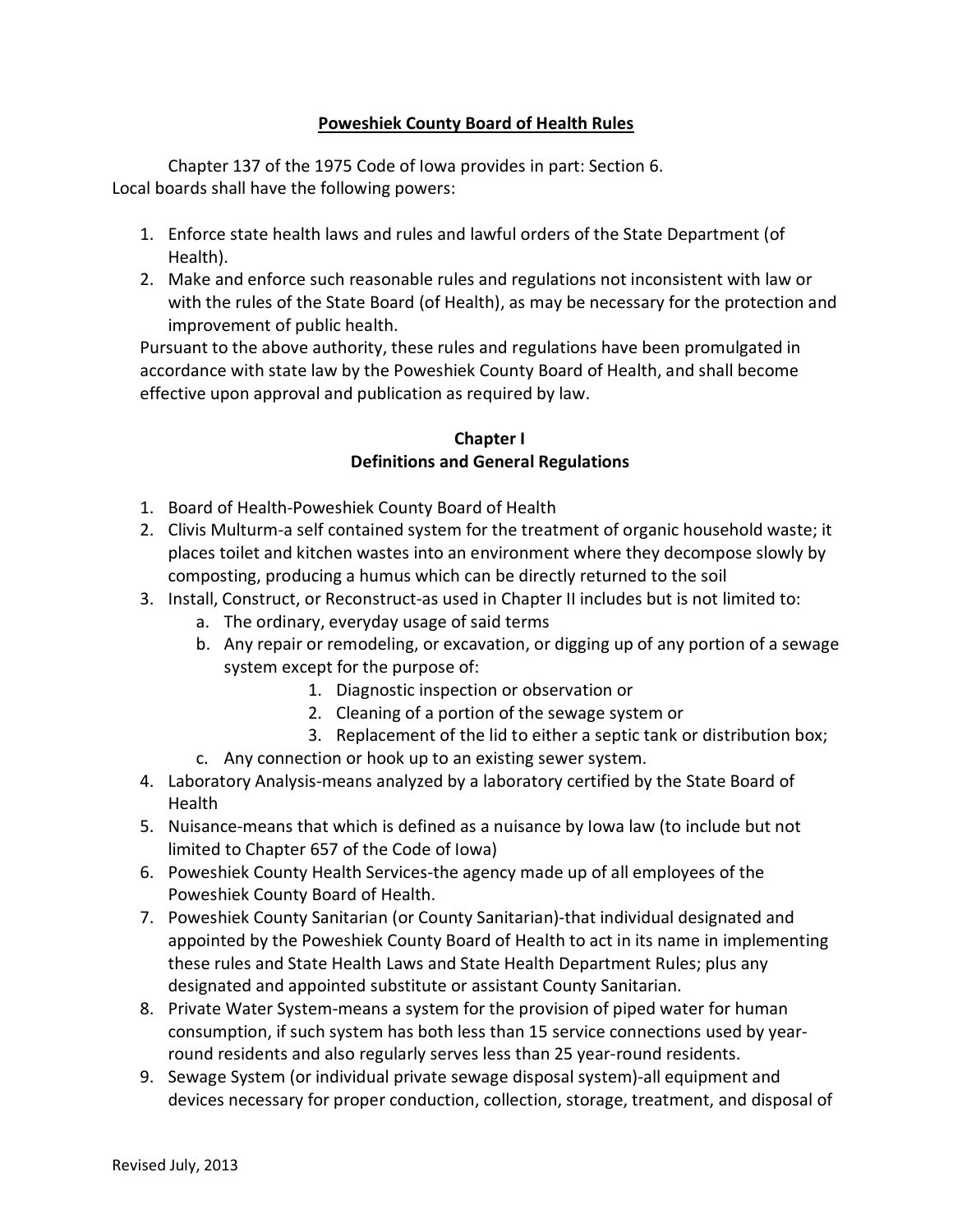## **Poweshiek County Board of Health Rules**

Chapter 137 of the 1975 Code of Iowa provides in part: Section 6. Local boards shall have the following powers:

- 1. Enforce state health laws and rules and lawful orders of the State Department (of Health).
- 2. Make and enforce such reasonable rules and regulations not inconsistent with law or with the rules of the State Board (of Health), as may be necessary for the protection and improvement of public health.

Pursuant to the above authority, these rules and regulations have been promulgated in accordance with state law by the Poweshiek County Board of Health, and shall become effective upon approval and publication as required by law.

## **Chapter I Definitions and General Regulations**

- 1. Board of Health-Poweshiek County Board of Health
- 2. Clivis Multurm-a self contained system for the treatment of organic household waste; it places toilet and kitchen wastes into an environment where they decompose slowly by composting, producing a humus which can be directly returned to the soil
- 3. Install, Construct, or Reconstruct-as used in Chapter II includes but is not limited to:
	- a. The ordinary, everyday usage of said terms
	- b. Any repair or remodeling, or excavation, or digging up of any portion of a sewage system except for the purpose of:
		- 1. Diagnostic inspection or observation or
		- 2. Cleaning of a portion of the sewage system or
		- 3. Replacement of the lid to either a septic tank or distribution box;
	- c. Any connection or hook up to an existing sewer system.
- 4. Laboratory Analysis-means analyzed by a laboratory certified by the State Board of Health
- 5. Nuisance-means that which is defined as a nuisance by Iowa law (to include but not limited to Chapter 657 of the Code of Iowa)
- 6. Poweshiek County Health Services-the agency made up of all employees of the Poweshiek County Board of Health.
- 7. Poweshiek County Sanitarian (or County Sanitarian)-that individual designated and appointed by the Poweshiek County Board of Health to act in its name in implementing these rules and State Health Laws and State Health Department Rules; plus any designated and appointed substitute or assistant County Sanitarian.
- 8. Private Water System-means a system for the provision of piped water for human consumption, if such system has both less than 15 service connections used by yearround residents and also regularly serves less than 25 year-round residents.
- 9. Sewage System (or individual private sewage disposal system)-all equipment and devices necessary for proper conduction, collection, storage, treatment, and disposal of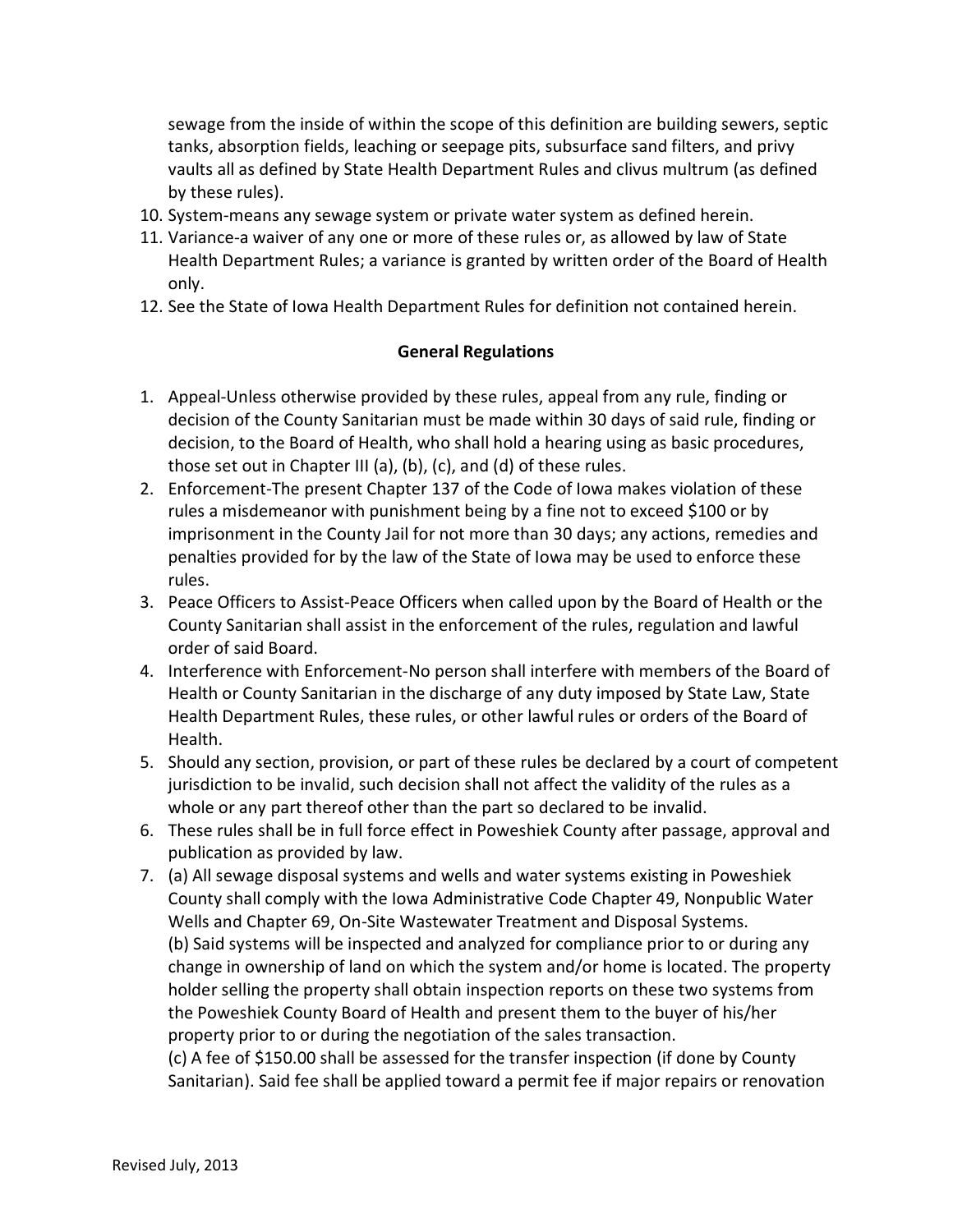sewage from the inside of within the scope of this definition are building sewers, septic tanks, absorption fields, leaching or seepage pits, subsurface sand filters, and privy vaults all as defined by State Health Department Rules and clivus multrum (as defined by these rules).

- 10. System-means any sewage system or private water system as defined herein.
- 11. Variance-a waiver of any one or more of these rules or, as allowed by law of State Health Department Rules; a variance is granted by written order of the Board of Health only.
- 12. See the State of Iowa Health Department Rules for definition not contained herein.

#### **General Regulations**

- 1. Appeal-Unless otherwise provided by these rules, appeal from any rule, finding or decision of the County Sanitarian must be made within 30 days of said rule, finding or decision, to the Board of Health, who shall hold a hearing using as basic procedures, those set out in Chapter III (a), (b), (c), and (d) of these rules.
- 2. Enforcement-The present Chapter 137 of the Code of Iowa makes violation of these rules a misdemeanor with punishment being by a fine not to exceed \$100 or by imprisonment in the County Jail for not more than 30 days; any actions, remedies and penalties provided for by the law of the State of Iowa may be used to enforce these rules.
- 3. Peace Officers to Assist-Peace Officers when called upon by the Board of Health or the County Sanitarian shall assist in the enforcement of the rules, regulation and lawful order of said Board.
- 4. Interference with Enforcement-No person shall interfere with members of the Board of Health or County Sanitarian in the discharge of any duty imposed by State Law, State Health Department Rules, these rules, or other lawful rules or orders of the Board of Health.
- 5. Should any section, provision, or part of these rules be declared by a court of competent jurisdiction to be invalid, such decision shall not affect the validity of the rules as a whole or any part thereof other than the part so declared to be invalid.
- 6. These rules shall be in full force effect in Poweshiek County after passage, approval and publication as provided by law.
- 7. (a) All sewage disposal systems and wells and water systems existing in Poweshiek County shall comply with the Iowa Administrative Code Chapter 49, Nonpublic Water Wells and Chapter 69, On-Site Wastewater Treatment and Disposal Systems. (b) Said systems will be inspected and analyzed for compliance prior to or during any change in ownership of land on which the system and/or home is located. The property holder selling the property shall obtain inspection reports on these two systems from the Poweshiek County Board of Health and present them to the buyer of his/her property prior to or during the negotiation of the sales transaction. (c) A fee of \$150.00 shall be assessed for the transfer inspection (if done by County Sanitarian). Said fee shall be applied toward a permit fee if major repairs or renovation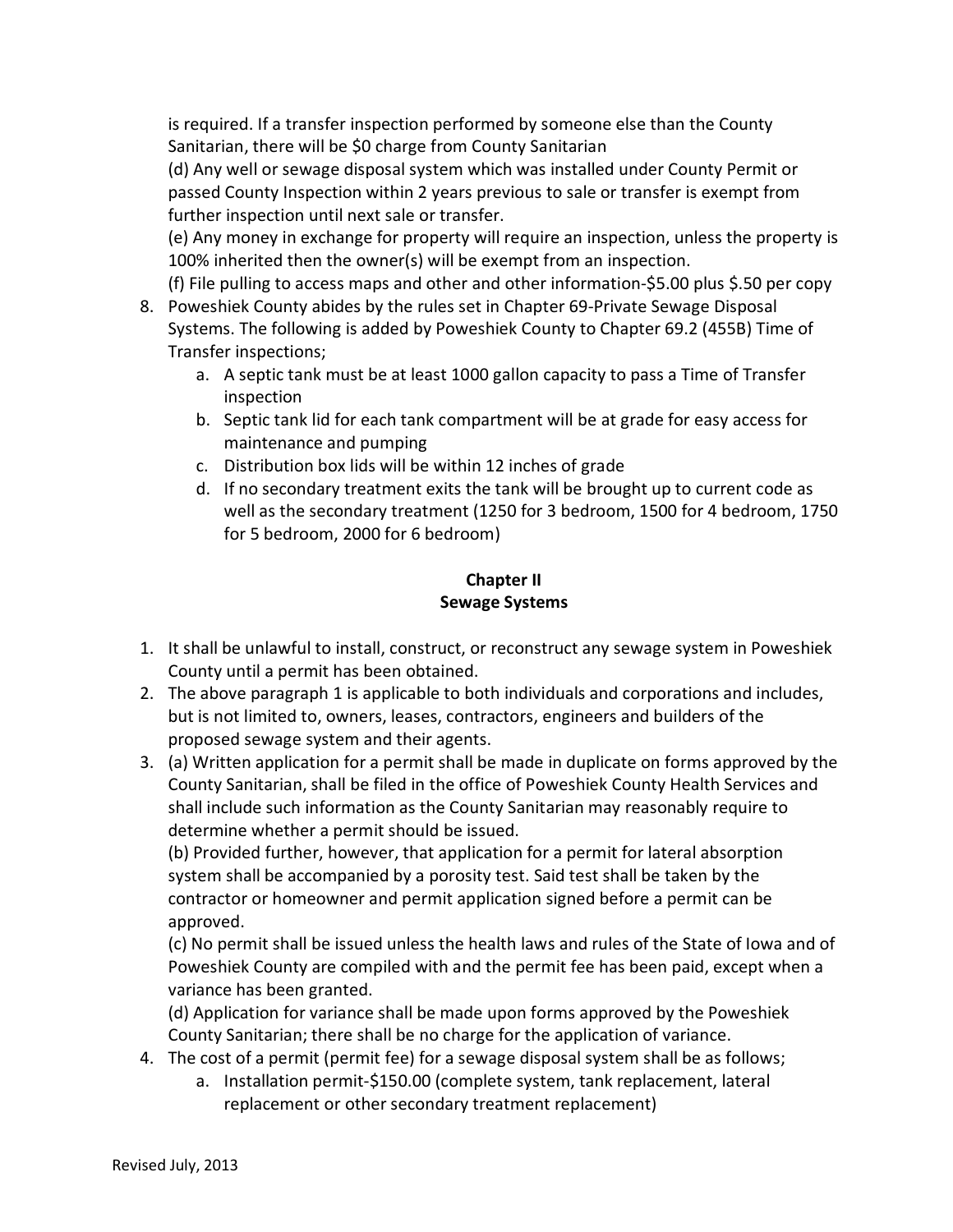is required. If a transfer inspection performed by someone else than the County Sanitarian, there will be \$0 charge from County Sanitarian

(d) Any well or sewage disposal system which was installed under County Permit or passed County Inspection within 2 years previous to sale or transfer is exempt from further inspection until next sale or transfer.

(e) Any money in exchange for property will require an inspection, unless the property is 100% inherited then the owner(s) will be exempt from an inspection.

(f) File pulling to access maps and other and other information-\$5.00 plus \$.50 per copy

- 8. Poweshiek County abides by the rules set in Chapter 69-Private Sewage Disposal Systems. The following is added by Poweshiek County to Chapter 69.2 (455B) Time of Transfer inspections;
	- a. A septic tank must be at least 1000 gallon capacity to pass a Time of Transfer inspection
	- b. Septic tank lid for each tank compartment will be at grade for easy access for maintenance and pumping
	- c. Distribution box lids will be within 12 inches of grade
	- d. If no secondary treatment exits the tank will be brought up to current code as well as the secondary treatment (1250 for 3 bedroom, 1500 for 4 bedroom, 1750 for 5 bedroom, 2000 for 6 bedroom)

# **Chapter II Sewage Systems**

- 1. It shall be unlawful to install, construct, or reconstruct any sewage system in Poweshiek County until a permit has been obtained.
- 2. The above paragraph 1 is applicable to both individuals and corporations and includes, but is not limited to, owners, leases, contractors, engineers and builders of the proposed sewage system and their agents.
- 3. (a) Written application for a permit shall be made in duplicate on forms approved by the County Sanitarian, shall be filed in the office of Poweshiek County Health Services and shall include such information as the County Sanitarian may reasonably require to determine whether a permit should be issued.

(b) Provided further, however, that application for a permit for lateral absorption system shall be accompanied by a porosity test. Said test shall be taken by the contractor or homeowner and permit application signed before a permit can be approved.

(c) No permit shall be issued unless the health laws and rules of the State of Iowa and of Poweshiek County are compiled with and the permit fee has been paid, except when a variance has been granted.

(d) Application for variance shall be made upon forms approved by the Poweshiek County Sanitarian; there shall be no charge for the application of variance.

- 4. The cost of a permit (permit fee) for a sewage disposal system shall be as follows;
	- a. Installation permit-\$150.00 (complete system, tank replacement, lateral replacement or other secondary treatment replacement)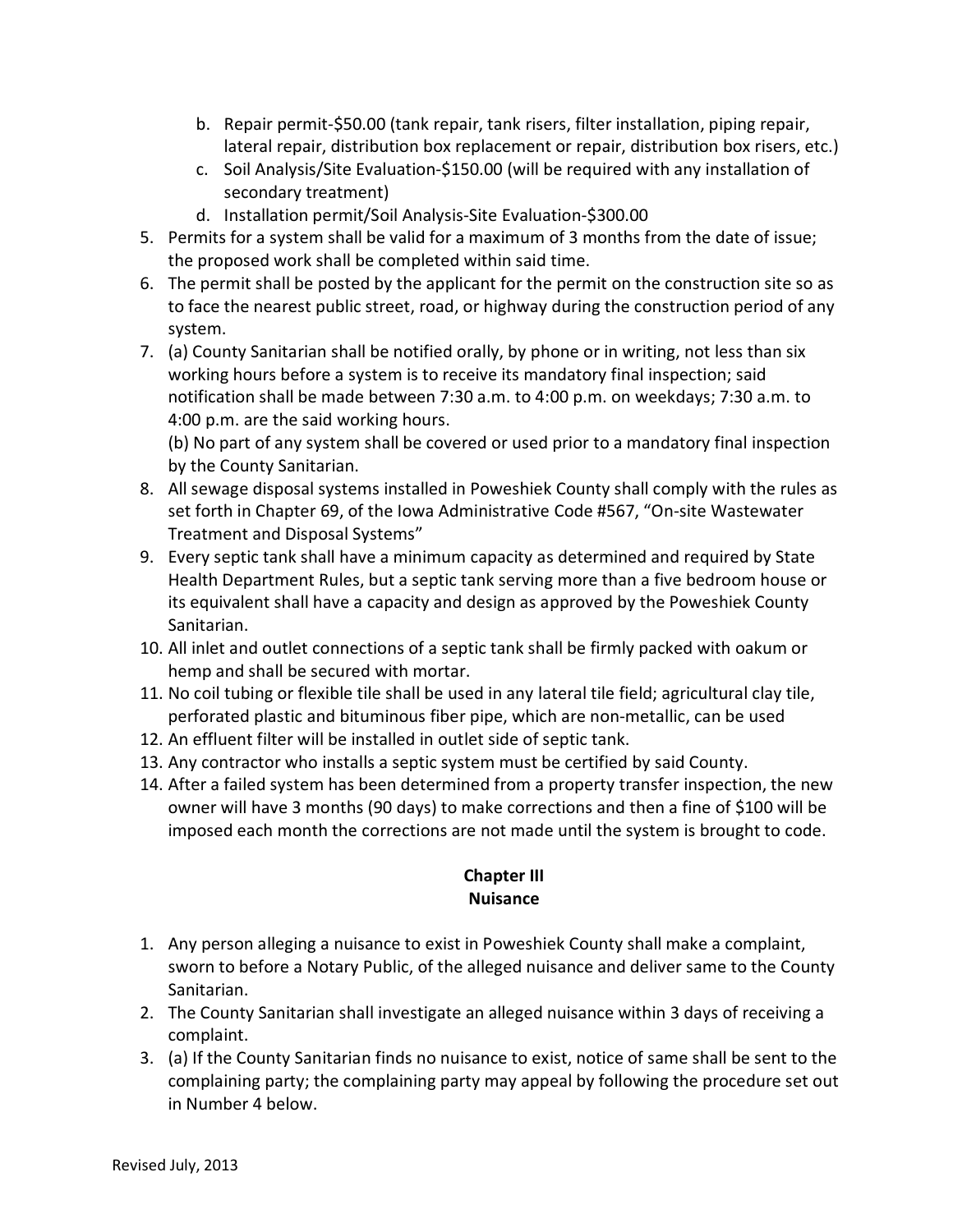- b. Repair permit-\$50.00 (tank repair, tank risers, filter installation, piping repair, lateral repair, distribution box replacement or repair, distribution box risers, etc.)
- c. Soil Analysis/Site Evaluation-\$150.00 (will be required with any installation of secondary treatment)
- d. Installation permit/Soil Analysis-Site Evaluation-\$300.00
- 5. Permits for a system shall be valid for a maximum of 3 months from the date of issue; the proposed work shall be completed within said time.
- 6. The permit shall be posted by the applicant for the permit on the construction site so as to face the nearest public street, road, or highway during the construction period of any system.
- 7. (a) County Sanitarian shall be notified orally, by phone or in writing, not less than six working hours before a system is to receive its mandatory final inspection; said notification shall be made between 7:30 a.m. to 4:00 p.m. on weekdays; 7:30 a.m. to 4:00 p.m. are the said working hours.

(b) No part of any system shall be covered or used prior to a mandatory final inspection by the County Sanitarian.

- 8. All sewage disposal systems installed in Poweshiek County shall comply with the rules as set forth in Chapter 69, of the Iowa Administrative Code #567, "On-site Wastewater Treatment and Disposal Systems"
- 9. Every septic tank shall have a minimum capacity as determined and required by State Health Department Rules, but a septic tank serving more than a five bedroom house or its equivalent shall have a capacity and design as approved by the Poweshiek County Sanitarian.
- 10. All inlet and outlet connections of a septic tank shall be firmly packed with oakum or hemp and shall be secured with mortar.
- 11. No coil tubing or flexible tile shall be used in any lateral tile field; agricultural clay tile, perforated plastic and bituminous fiber pipe, which are non-metallic, can be used
- 12. An effluent filter will be installed in outlet side of septic tank.
- 13. Any contractor who installs a septic system must be certified by said County.
- 14. After a failed system has been determined from a property transfer inspection, the new owner will have 3 months (90 days) to make corrections and then a fine of \$100 will be imposed each month the corrections are not made until the system is brought to code.

# **Chapter III Nuisance**

- 1. Any person alleging a nuisance to exist in Poweshiek County shall make a complaint, sworn to before a Notary Public, of the alleged nuisance and deliver same to the County Sanitarian.
- 2. The County Sanitarian shall investigate an alleged nuisance within 3 days of receiving a complaint.
- 3. (a) If the County Sanitarian finds no nuisance to exist, notice of same shall be sent to the complaining party; the complaining party may appeal by following the procedure set out in Number 4 below.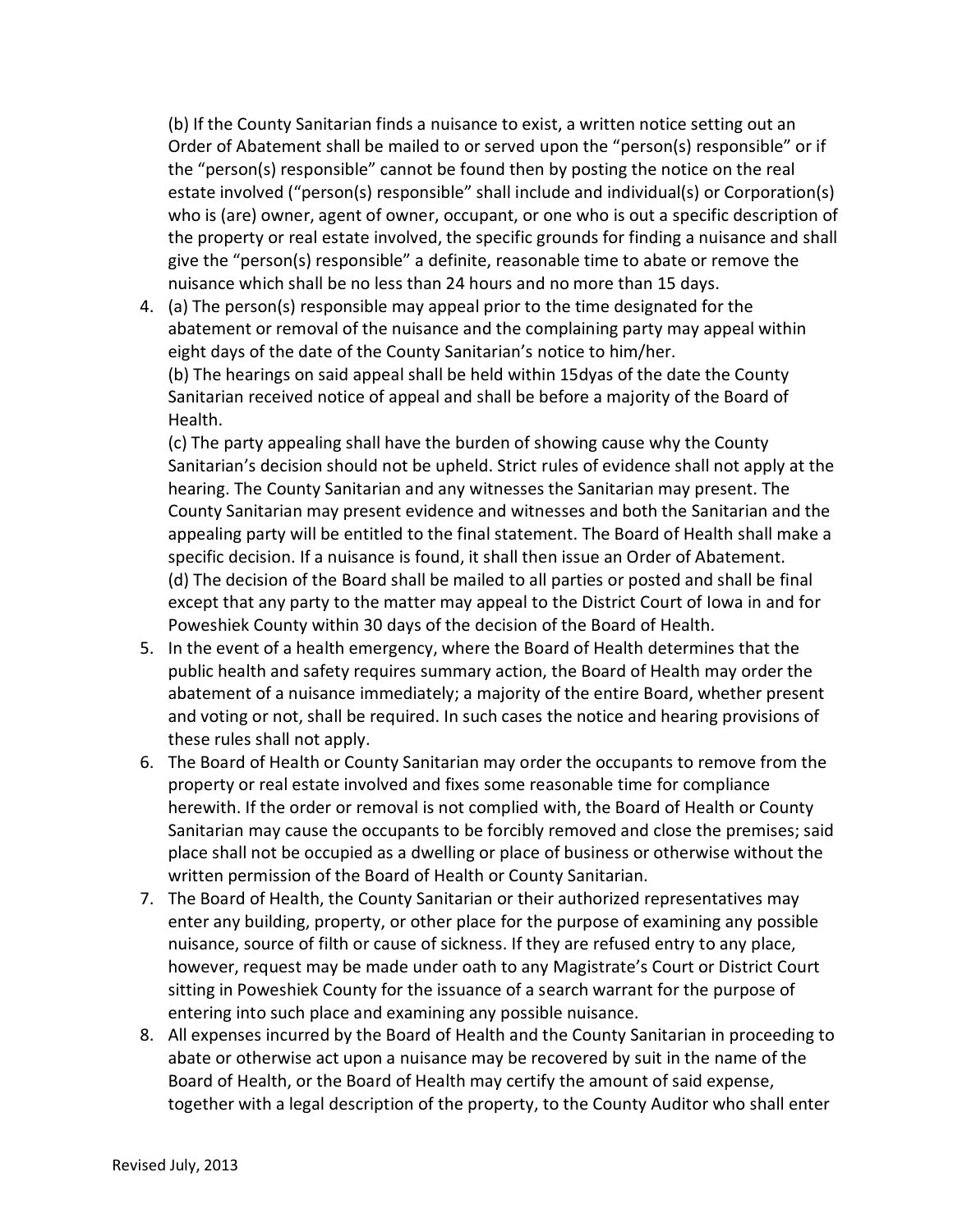(b) If the County Sanitarian finds a nuisance to exist, a written notice setting out an Order of Abatement shall be mailed to or served upon the "person(s) responsible" or if the "person(s) responsible" cannot be found then by posting the notice on the real estate involved ("person(s) responsible" shall include and individual(s) or Corporation(s) who is (are) owner, agent of owner, occupant, or one who is out a specific description of the property or real estate involved, the specific grounds for finding a nuisance and shall give the "person(s) responsible" a definite, reasonable time to abate or remove the nuisance which shall be no less than 24 hours and no more than 15 days.

4. (a) The person(s) responsible may appeal prior to the time designated for the abatement or removal of the nuisance and the complaining party may appeal within eight days of the date of the County Sanitarian's notice to him/her. (b) The hearings on said appeal shall be held within 15dyas of the date the County Sanitarian received notice of appeal and shall be before a majority of the Board of Health.

(c) The party appealing shall have the burden of showing cause why the County Sanitarian's decision should not be upheld. Strict rules of evidence shall not apply at the hearing. The County Sanitarian and any witnesses the Sanitarian may present. The County Sanitarian may present evidence and witnesses and both the Sanitarian and the appealing party will be entitled to the final statement. The Board of Health shall make a specific decision. If a nuisance is found, it shall then issue an Order of Abatement. (d) The decision of the Board shall be mailed to all parties or posted and shall be final except that any party to the matter may appeal to the District Court of Iowa in and for Poweshiek County within 30 days of the decision of the Board of Health.

- 5. In the event of a health emergency, where the Board of Health determines that the public health and safety requires summary action, the Board of Health may order the abatement of a nuisance immediately; a majority of the entire Board, whether present and voting or not, shall be required. In such cases the notice and hearing provisions of these rules shall not apply.
- 6. The Board of Health or County Sanitarian may order the occupants to remove from the property or real estate involved and fixes some reasonable time for compliance herewith. If the order or removal is not complied with, the Board of Health or County Sanitarian may cause the occupants to be forcibly removed and close the premises; said place shall not be occupied as a dwelling or place of business or otherwise without the written permission of the Board of Health or County Sanitarian.
- 7. The Board of Health, the County Sanitarian or their authorized representatives may enter any building, property, or other place for the purpose of examining any possible nuisance, source of filth or cause of sickness. If they are refused entry to any place, however, request may be made under oath to any Magistrate's Court or District Court sitting in Poweshiek County for the issuance of a search warrant for the purpose of entering into such place and examining any possible nuisance.
- 8. All expenses incurred by the Board of Health and the County Sanitarian in proceeding to abate or otherwise act upon a nuisance may be recovered by suit in the name of the Board of Health, or the Board of Health may certify the amount of said expense, together with a legal description of the property, to the County Auditor who shall enter